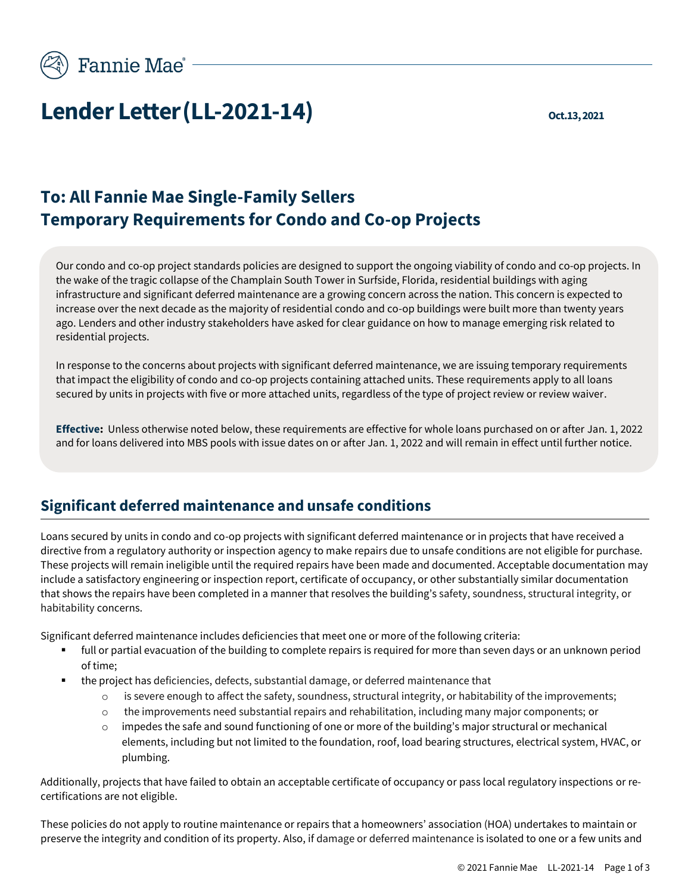

# **Lender Letter (LL-2021-14)**  $\sum_{\text{Oct.13, 2021}}$

# **To: All Fannie Mae Single-Family Sellers Temporary Requirements for Condo and Co-op Projects**

Our condo and co-op project standards policies are designed to support the ongoing viability of condo and co-op projects. In the wake of the tragic collapse of the Champlain South Tower in Surfside, Florida, residential buildings with aging infrastructure and significant deferred maintenance are a growing concern across the nation. This concern is expected to increase over the next decade as the majority of residential condo and co-op buildings were built more than twenty years ago. Lenders and other industry stakeholders have asked for clear guidance on how to manage emerging risk related to residential projects.

In response to the concerns about projects with significant deferred maintenance, we are issuing temporary requirements that impact the eligibility of condo and co-op projects containing attached units. These requirements apply to all loans secured by units in projects with five or more attached units, regardless of the type of project review or review waiver.

**Effective:** Unless otherwise noted below, these requirements are effective for whole loans purchased on or after Jan. 1, 2022 and for loans delivered into MBS pools with issue dates on or after Jan. 1, 2022 and will remain in effect until further notice.

### **Significant deferred maintenance and unsafe conditions**

Loans secured by units in condo and co-op projects with significant deferred maintenance or in projects that have received a directive from a regulatory authority or inspection agency to make repairs due to unsafe conditions are not eligible for purchase. These projects will remain ineligible until the required repairs have been made and documented. Acceptable documentation may include a satisfactory engineering or inspection report, certificate of occupancy, or other substantially similar documentation that shows the repairs have been completed in a manner that resolves the building's safety, soundness, structural integrity, or habitability concerns.

Significant deferred maintenance includes deficiencies that meet one or more of the following criteria:

- full or partial evacuation of the building to complete repairs is required for more than seven days or an unknown period of time;
- the project has deficiencies, defects, substantial damage, or deferred maintenance that
	- $\circ$  is severe enough to affect the safety, soundness, structural integrity, or habitability of the improvements;
	- the improvements need substantial repairs and rehabilitation, including many major components; or
	- $\circ$  impedes the safe and sound functioning of one or more of the building's major structural or mechanical elements, including but not limited to the foundation, roof, load bearing structures, electrical system, HVAC, or plumbing.

Additionally, projects that have failed to obtain an acceptable certificate of occupancy or pass local regulatory inspections or recertifications are not eligible.

These policies do not apply to routine maintenance or repairs that a homeowners' association (HOA) undertakes to maintain or preserve the integrity and condition of its property. Also, if damage or deferred maintenance is isolated to one or a few units and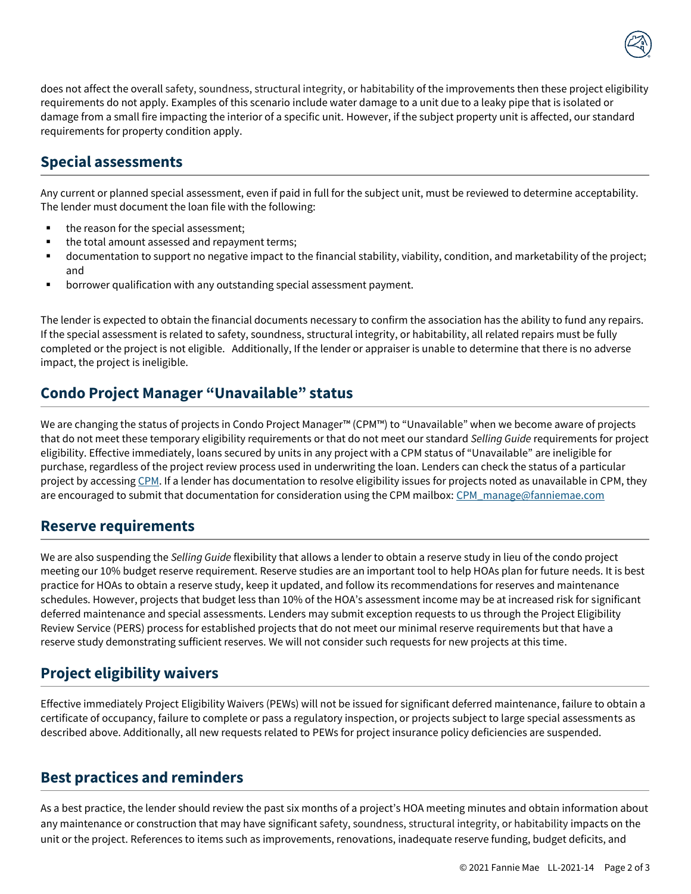

does not affect the overall safety, soundness, structural integrity, or habitability of the improvements then these project eligibility requirements do not apply. Examples of this scenario include water damage to a unit due to a leaky pipe that is isolated or damage from a small fire impacting the interior of a specific unit. However, if the subject property unit is affected, our standard requirements for property condition apply.

#### **Special assessments**

Any current or planned special assessment, even if paid in full for the subject unit, must be reviewed to determine acceptability. The lender must document the loan file with the following:

- the reason for the special assessment;
- the total amount assessed and repayment terms;
- documentation to support no negative impact to the financial stability, viability, condition, and marketability of the project; and
- borrower qualification with any outstanding special assessment payment.

The lender is expected to obtain the financial documents necessary to confirm the association has the ability to fund any repairs. If the special assessment is related to safety, soundness, structural integrity, or habitability, all related repairs must be fully completed or the project is not eligible. Additionally, If the lender or appraiser is unable to determine that there is no adverse impact, the project is ineligible.

#### **Condo Project Manager "Unavailable" status**

We are changing the status of projects in Condo Project Manager™ (CPM™) to "Unavailable" when we become aware of projects that do not meet these temporary eligibility requirements or that do not meet our standard *Selling Guide* requirements for project eligibility. Effective immediately, loans secured by units in any project with a CPM status of "Unavailable" are ineligible for purchase, regardless of the project review process used in underwriting the loan. Lenders can check the status of a particular project by accessin[g CPM.](https://singlefamily.fanniemae.com/applications-technology/condo-project-manager) If a lender has documentation to resolve eligibility issues for projects noted as unavailable in CPM, they are encouraged to submit that documentation for consideration using the CPM mailbox[: CPM\\_manage@fanniemae.com](mailto:CPM_manage@fanniemae.com)

#### **Reserve requirements**

We are also suspending the *Selling Guide* flexibility that allows a lender to obtain a reserve study in lieu of the condo project meeting our 10% budget reserve requirement. Reserve studies are an important tool to help HOAs plan for future needs. It is best practice for HOAs to obtain a reserve study, keep it updated, and follow its recommendations for reserves and maintenance schedules. However, projects that budget less than 10% of the HOA's assessment income may be at increased risk for significant deferred maintenance and special assessments. Lenders may submit exception requests to us through the Project Eligibility Review Service (PERS) process for established projects that do not meet our minimal reserve requirements but that have a reserve study demonstrating sufficient reserves. We will not consider such requests for new projects at this time.

## **Project eligibility waivers**

Effective immediately Project Eligibility Waivers (PEWs) will not be issued for significant deferred maintenance, failure to obtain a certificate of occupancy, failure to complete or pass a regulatory inspection, or projects subject to large special assessments as described above. Additionally, all new requests related to PEWs for project insurance policy deficiencies are suspended.

### **Best practices and reminders**

As a best practice, the lender should review the past six months of a project's HOA meeting minutes and obtain information about any maintenance or construction that may have significant safety, soundness, structural integrity, or habitability impacts on the unit or the project. References to items such as improvements, renovations, inadequate reserve funding, budget deficits, and